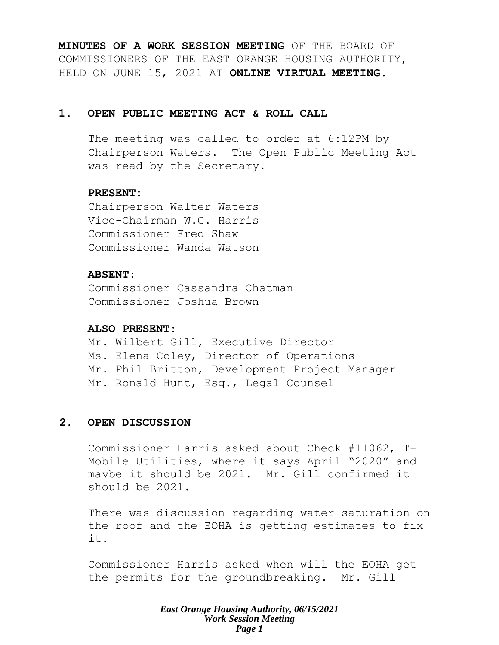**MINUTES OF A WORK SESSION MEETING** OF THE BOARD OF COMMISSIONERS OF THE EAST ORANGE HOUSING AUTHORITY, HELD ON JUNE 15, 2021 AT **ONLINE VIRTUAL MEETING**.

# **1. OPEN PUBLIC MEETING ACT & ROLL CALL**

The meeting was called to order at 6:12PM by Chairperson Waters. The Open Public Meeting Act was read by the Secretary.

# **PRESENT:**

Chairperson Walter Waters Vice-Chairman W.G. Harris Commissioner Fred Shaw Commissioner Wanda Watson

# **ABSENT:**

Commissioner Cassandra Chatman Commissioner Joshua Brown

# **ALSO PRESENT:**

Mr. Wilbert Gill, Executive Director Ms. Elena Coley, Director of Operations Mr. Phil Britton, Development Project Manager Mr. Ronald Hunt, Esq., Legal Counsel

# **2. OPEN DISCUSSION**

Commissioner Harris asked about Check #11062, T-Mobile Utilities, where it says April "2020" and maybe it should be 2021. Mr. Gill confirmed it should be 2021.

There was discussion regarding water saturation on the roof and the EOHA is getting estimates to fix it.

Commissioner Harris asked when will the EOHA get the permits for the groundbreaking. Mr. Gill

#### *East Orange Housing Authority, 06/15/2021 Work Session Meeting Page 1*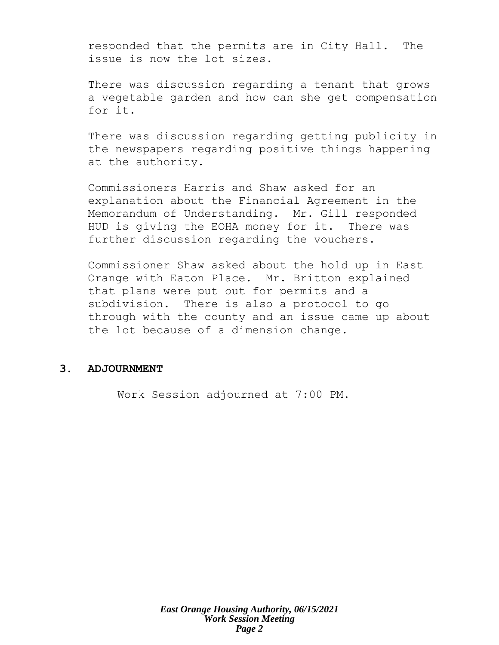responded that the permits are in City Hall. The issue is now the lot sizes.

There was discussion regarding a tenant that grows a vegetable garden and how can she get compensation for it.

There was discussion regarding getting publicity in the newspapers regarding positive things happening at the authority.

Commissioners Harris and Shaw asked for an explanation about the Financial Agreement in the Memorandum of Understanding. Mr. Gill responded HUD is giving the EOHA money for it. There was further discussion regarding the vouchers.

Commissioner Shaw asked about the hold up in East Orange with Eaton Place. Mr. Britton explained that plans were put out for permits and a subdivision. There is also a protocol to go through with the county and an issue came up about the lot because of a dimension change.

# **3. ADJOURNMENT**

Work Session adjourned at 7:00 PM.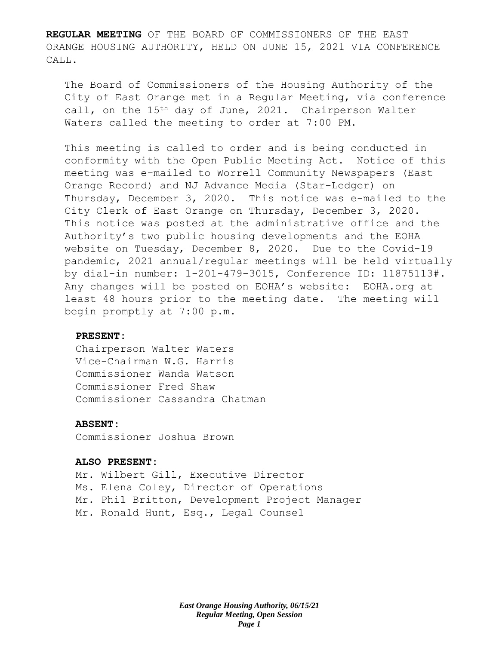**REGULAR MEETING** OF THE BOARD OF COMMISSIONERS OF THE EAST ORANGE HOUSING AUTHORITY, HELD ON JUNE 15, 2021 VIA CONFERENCE CALL.

The Board of Commissioners of the Housing Authority of the City of East Orange met in a Regular Meeting, via conference call, on the 15<sup>th</sup> day of June, 2021. Chairperson Walter Waters called the meeting to order at 7:00 PM.

This meeting is called to order and is being conducted in conformity with the Open Public Meeting Act. Notice of this meeting was e-mailed to Worrell Community Newspapers (East Orange Record) and NJ Advance Media (Star-Ledger) on Thursday, December 3, 2020. This notice was e-mailed to the City Clerk of East Orange on Thursday, December 3, 2020. This notice was posted at the administrative office and the Authority's two public housing developments and the EOHA website on Tuesday, December 8, 2020. Due to the Covid-19 pandemic, 2021 annual/regular meetings will be held virtually by dial-in number: 1-201-479-3015, Conference ID: 11875113#. Any changes will be posted on EOHA's website: EOHA.org at least 48 hours prior to the meeting date. The meeting will begin promptly at 7:00 p.m.

#### **PRESENT:**

Chairperson Walter Waters Vice-Chairman W.G. Harris Commissioner Wanda Watson Commissioner Fred Shaw Commissioner Cassandra Chatman

#### **ABSENT:**

Commissioner Joshua Brown

#### **ALSO PRESENT:**

Mr. Wilbert Gill, Executive Director Ms. Elena Coley, Director of Operations Mr. Phil Britton, Development Project Manager Mr. Ronald Hunt, Esq., Legal Counsel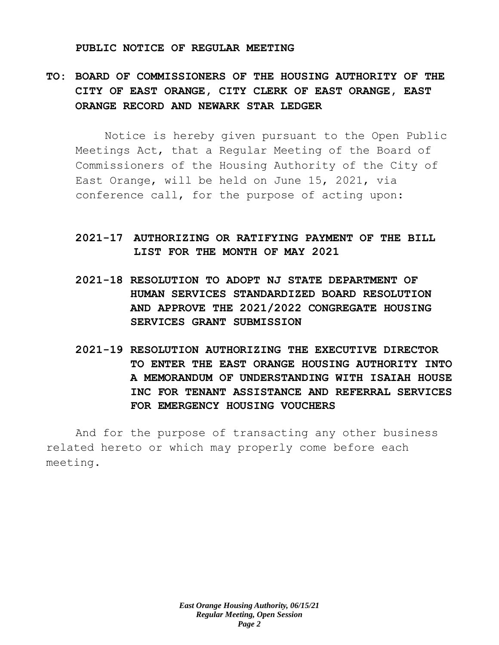#### **PUBLIC NOTICE OF REGULAR MEETING**

# **TO: BOARD OF COMMISSIONERS OF THE HOUSING AUTHORITY OF THE CITY OF EAST ORANGE, CITY CLERK OF EAST ORANGE, EAST ORANGE RECORD AND NEWARK STAR LEDGER**

Notice is hereby given pursuant to the Open Public Meetings Act, that a Regular Meeting of the Board of Commissioners of the Housing Authority of the City of East Orange, will be held on June 15, 2021, via conference call, for the purpose of acting upon:

# **2021-17 AUTHORIZING OR RATIFYING PAYMENT OF THE BILL LIST FOR THE MONTH OF MAY 2021**

- **2021-18 RESOLUTION TO ADOPT NJ STATE DEPARTMENT OF HUMAN SERVICES STANDARDIZED BOARD RESOLUTION AND APPROVE THE 2021/2022 CONGREGATE HOUSING SERVICES GRANT SUBMISSION**
- **2021-19 RESOLUTION AUTHORIZING THE EXECUTIVE DIRECTOR TO ENTER THE EAST ORANGE HOUSING AUTHORITY INTO A MEMORANDUM OF UNDERSTANDING WITH ISAIAH HOUSE INC FOR TENANT ASSISTANCE AND REFERRAL SERVICES FOR EMERGENCY HOUSING VOUCHERS**

And for the purpose of transacting any other business related hereto or which may properly come before each meeting.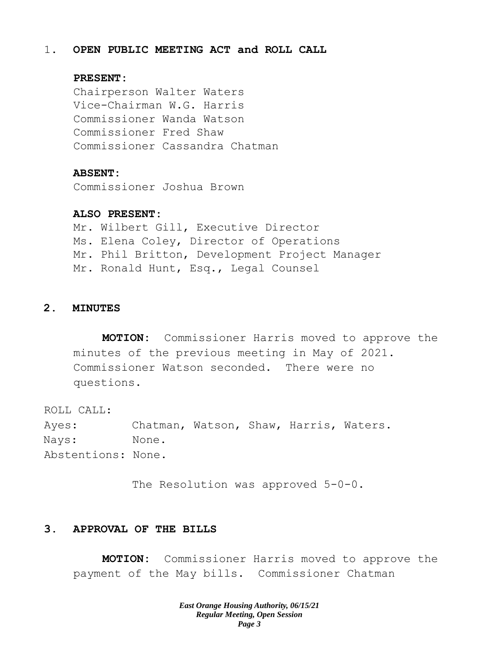## 1. **OPEN PUBLIC MEETING ACT and ROLL CALL**

## **PRESENT:**

Chairperson Walter Waters Vice-Chairman W.G. Harris Commissioner Wanda Watson Commissioner Fred Shaw Commissioner Cassandra Chatman

#### **ABSENT:**

Commissioner Joshua Brown

#### **ALSO PRESENT:**

Mr. Wilbert Gill, Executive Director Ms. Elena Coley, Director of Operations Mr. Phil Britton, Development Project Manager Mr. Ronald Hunt, Esq., Legal Counsel

### **2. MINUTES**

**MOTION:** Commissioner Harris moved to approve the minutes of the previous meeting in May of 2021. Commissioner Watson seconded. There were no questions.

ROLL CALL: Ayes: Chatman, Watson, Shaw, Harris, Waters. Nays: None. Abstentions: None.

The Resolution was approved 5-0-0.

# **3. APPROVAL OF THE BILLS**

**MOTION:** Commissioner Harris moved to approve the payment of the May bills. Commissioner Chatman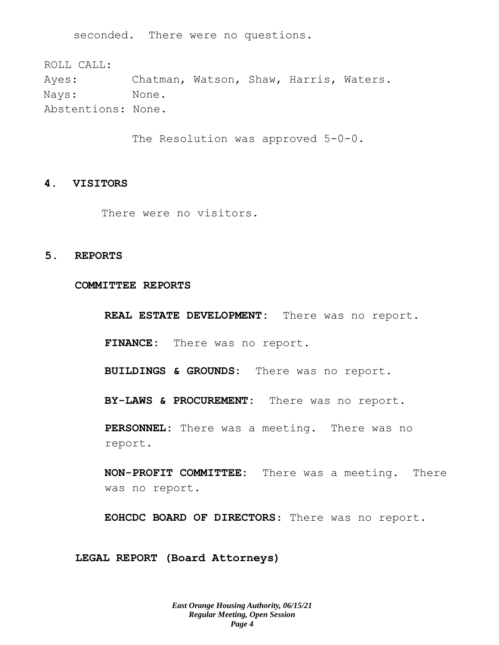seconded. There were no questions.

ROLL CALL: Ayes: Chatman, Watson, Shaw, Harris, Waters. Nays: None. Abstentions: None.

The Resolution was approved 5-0-0.

### **4. VISITORS**

There were no visitors.

## **5. REPORTS**

**COMMITTEE REPORTS**

**REAL ESTATE DEVELOPMENT:** There was no report.

**FINANCE:** There was no report.

**BUILDINGS & GROUNDS:** There was no report.

**BY-LAWS & PROCUREMENT:** There was no report.

**PERSONNEL:** There was a meeting. There was no report.

**NON-PROFIT COMMITTEE:** There was a meeting. There was no report.

**EOHCDC BOARD OF DIRECTORS**: There was no report.

**LEGAL REPORT (Board Attorneys)**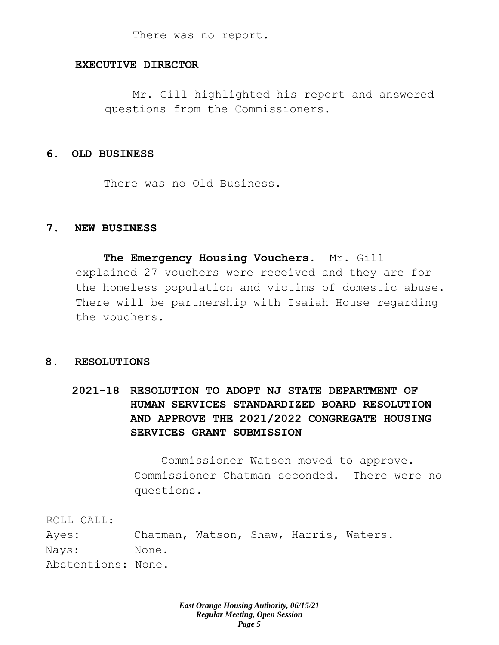There was no report.

# **EXECUTIVE DIRECTOR**

Mr. Gill highlighted his report and answered questions from the Commissioners.

## **6. OLD BUSINESS**

There was no Old Business.

## **7. NEW BUSINESS**

**The Emergency Housing Vouchers**. Mr. Gill explained 27 vouchers were received and they are for the homeless population and victims of domestic abuse. There will be partnership with Isaiah House regarding the vouchers.

#### **8. RESOLUTIONS**

**2021-18 RESOLUTION TO ADOPT NJ STATE DEPARTMENT OF HUMAN SERVICES STANDARDIZED BOARD RESOLUTION AND APPROVE THE 2021/2022 CONGREGATE HOUSING SERVICES GRANT SUBMISSION** 

> Commissioner Watson moved to approve. Commissioner Chatman seconded. There were no questions.

ROLL CALL:

Ayes: Chatman, Watson, Shaw, Harris, Waters. Nays: None. Abstentions: None.